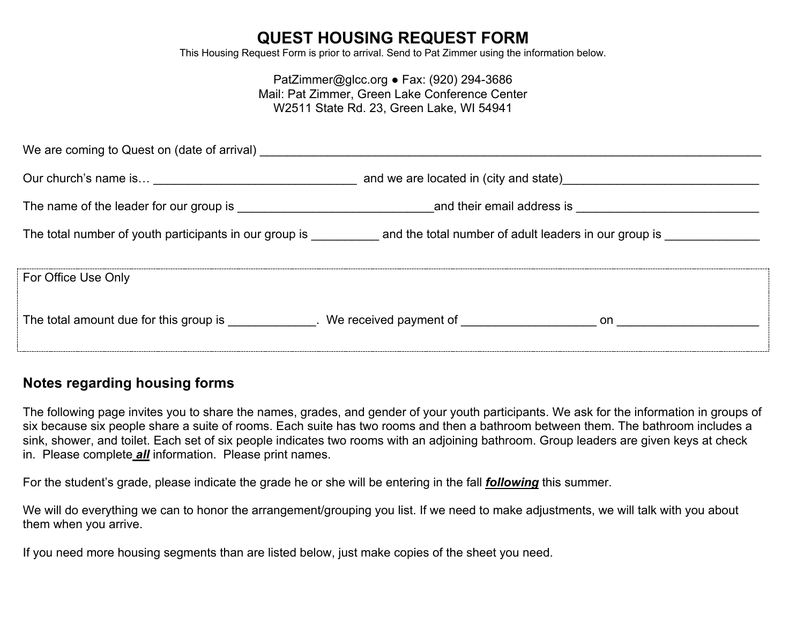# **QUEST HOUSING REQUEST FORM**

This Housing Request Form is prior to arrival. Send to Pat Zimmer using the information below.

#### PatZimmer@glcc.org ● Fax: (920) 294-3686 Mail: Pat Zimmer, Green Lake Conference Center W2511 State Rd. 23, Green Lake, WI 54941

| We are coming to Quest on (date of arrival)                                                          |                                                                                                                                                                                                                                     |  |  |
|------------------------------------------------------------------------------------------------------|-------------------------------------------------------------------------------------------------------------------------------------------------------------------------------------------------------------------------------------|--|--|
|                                                                                                      | and we are located in (city and state) <b>Example 20</b> is the state of the state of the state of the state of the state of the state of the state of the state of the state of the state of the state of the state of the state o |  |  |
|                                                                                                      | and their email address is and their email and their email address is                                                                                                                                                               |  |  |
|                                                                                                      | The total number of youth participants in our group is example and the total number of adult leaders in our group is                                                                                                                |  |  |
| For Office Use Only                                                                                  |                                                                                                                                                                                                                                     |  |  |
| The total amount due for this group is ______________. We received payment of ______________________ | on a complete the contract of the contract of the contract of the contract of the contract of the contract of                                                                                                                       |  |  |

# **Notes regarding housing forms**

The following page invites you to share the names, grades, and gender of your youth participants. We ask for the information in groups of six because six people share a suite of rooms. Each suite has two rooms and then a bathroom between them. The bathroom includes a sink, shower, and toilet. Each set of six people indicates two rooms with an adjoining bathroom. Group leaders are given keys at check in. Please complete *all* information. Please print names.

For the student's grade, please indicate the grade he or she will be entering in the fall *following* this summer.

We will do everything we can to honor the arrangement/grouping you list. If we need to make adjustments, we will talk with you about them when you arrive.

If you need more housing segments than are listed below, just make copies of the sheet you need.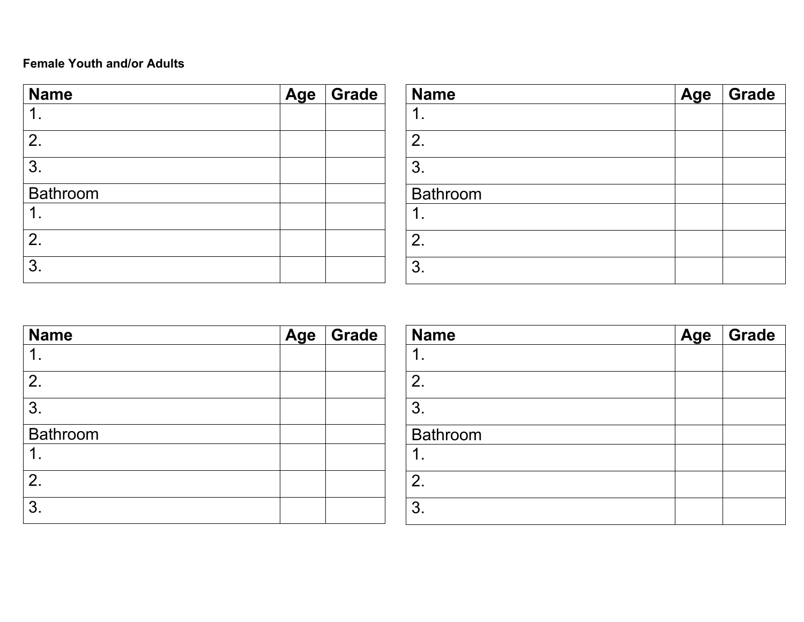## **Female Youth and/or Adults**

| <b>Name</b>     | Age Grade |
|-----------------|-----------|
|                 |           |
| 2.              |           |
| 3.              |           |
| <b>Bathroom</b> |           |
|                 |           |
| 2.              |           |
| 3.              |           |

| <b>Name</b> | Age | Grade |
|-------------|-----|-------|
|             |     |       |
| 2.          |     |       |
| 3.          |     |       |
| Bathroom    |     |       |
|             |     |       |
| 2.          |     |       |
| 3.          |     |       |

| <b>Name</b> | Age Grade |
|-------------|-----------|
|             |           |
| 2.          |           |
| 3.          |           |
| Bathroom    |           |
|             |           |
| 2.          |           |
| 3.          |           |

| <b>Name</b> | Age | Grade |
|-------------|-----|-------|
| 1           |     |       |
| 2.          |     |       |
| 3.          |     |       |
| Bathroom    |     |       |
| ◀           |     |       |
| 2.          |     |       |
| 3.          |     |       |